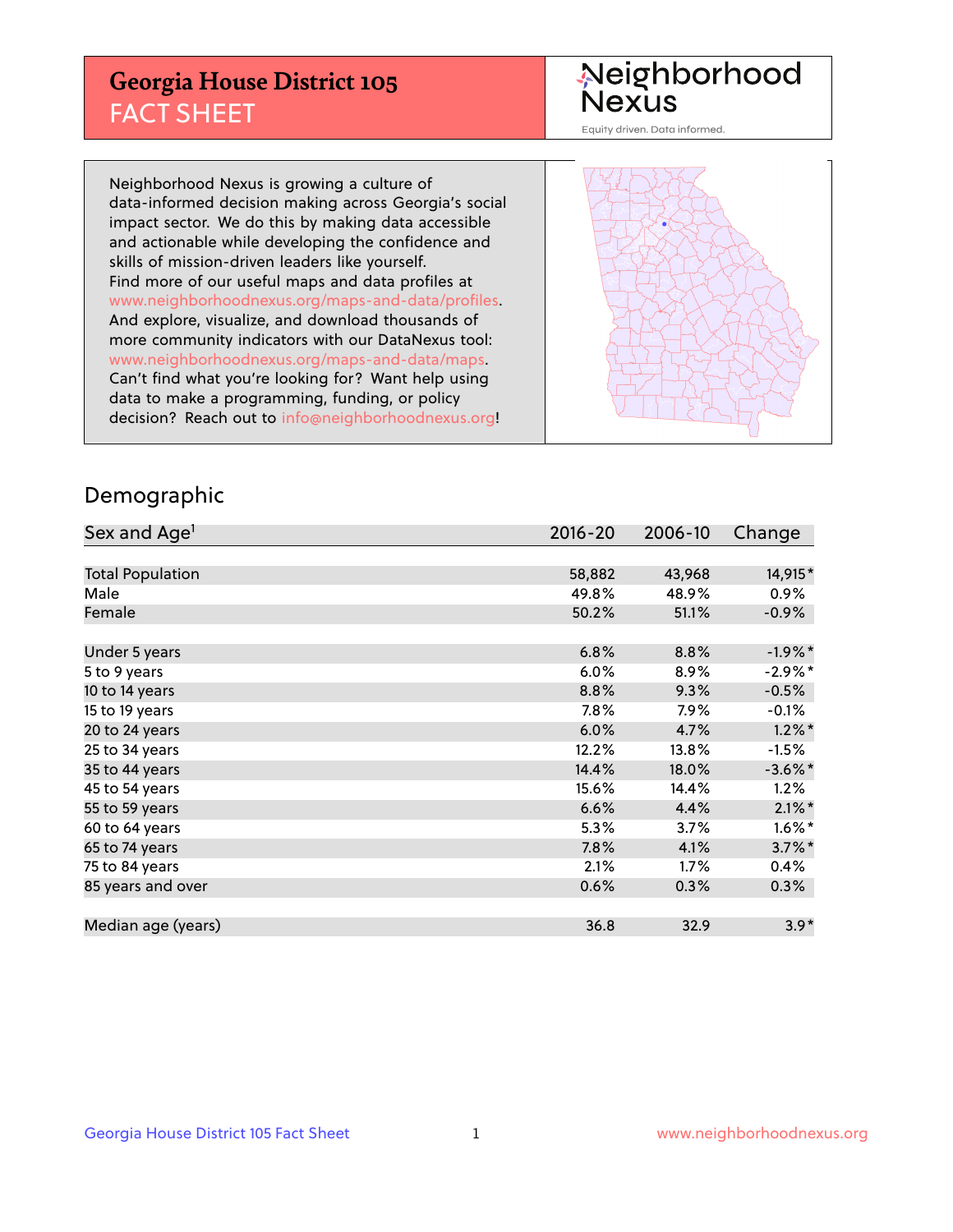## **Georgia House District 105** FACT SHEET

# Neighborhood<br>Nexus

Equity driven. Data informed.

Neighborhood Nexus is growing a culture of data-informed decision making across Georgia's social impact sector. We do this by making data accessible and actionable while developing the confidence and skills of mission-driven leaders like yourself. Find more of our useful maps and data profiles at www.neighborhoodnexus.org/maps-and-data/profiles. And explore, visualize, and download thousands of more community indicators with our DataNexus tool: www.neighborhoodnexus.org/maps-and-data/maps. Can't find what you're looking for? Want help using data to make a programming, funding, or policy decision? Reach out to [info@neighborhoodnexus.org!](mailto:info@neighborhoodnexus.org)



### Demographic

| Sex and Age <sup>1</sup> | $2016 - 20$ | 2006-10 | Change     |
|--------------------------|-------------|---------|------------|
|                          |             |         |            |
| <b>Total Population</b>  | 58,882      | 43,968  | 14,915*    |
| Male                     | 49.8%       | 48.9%   | $0.9\%$    |
| Female                   | 50.2%       | 51.1%   | $-0.9\%$   |
|                          |             |         |            |
| Under 5 years            | 6.8%        | 8.8%    | $-1.9%$ *  |
| 5 to 9 years             | 6.0%        | 8.9%    | $-2.9%$ *  |
| 10 to 14 years           | 8.8%        | 9.3%    | $-0.5%$    |
| 15 to 19 years           | 7.8%        | 7.9%    | $-0.1%$    |
| 20 to 24 years           | 6.0%        | 4.7%    | $1.2\%$ *  |
| 25 to 34 years           | 12.2%       | 13.8%   | $-1.5%$    |
| 35 to 44 years           | 14.4%       | 18.0%   | $-3.6\%$ * |
| 45 to 54 years           | 15.6%       | 14.4%   | 1.2%       |
| 55 to 59 years           | 6.6%        | 4.4%    | $2.1\%$ *  |
| 60 to 64 years           | 5.3%        | 3.7%    | $1.6\%$ *  |
| 65 to 74 years           | 7.8%        | 4.1%    | $3.7\%$ *  |
| 75 to 84 years           | 2.1%        | 1.7%    | 0.4%       |
| 85 years and over        | 0.6%        | 0.3%    | 0.3%       |
|                          |             |         |            |
| Median age (years)       | 36.8        | 32.9    | $3.9*$     |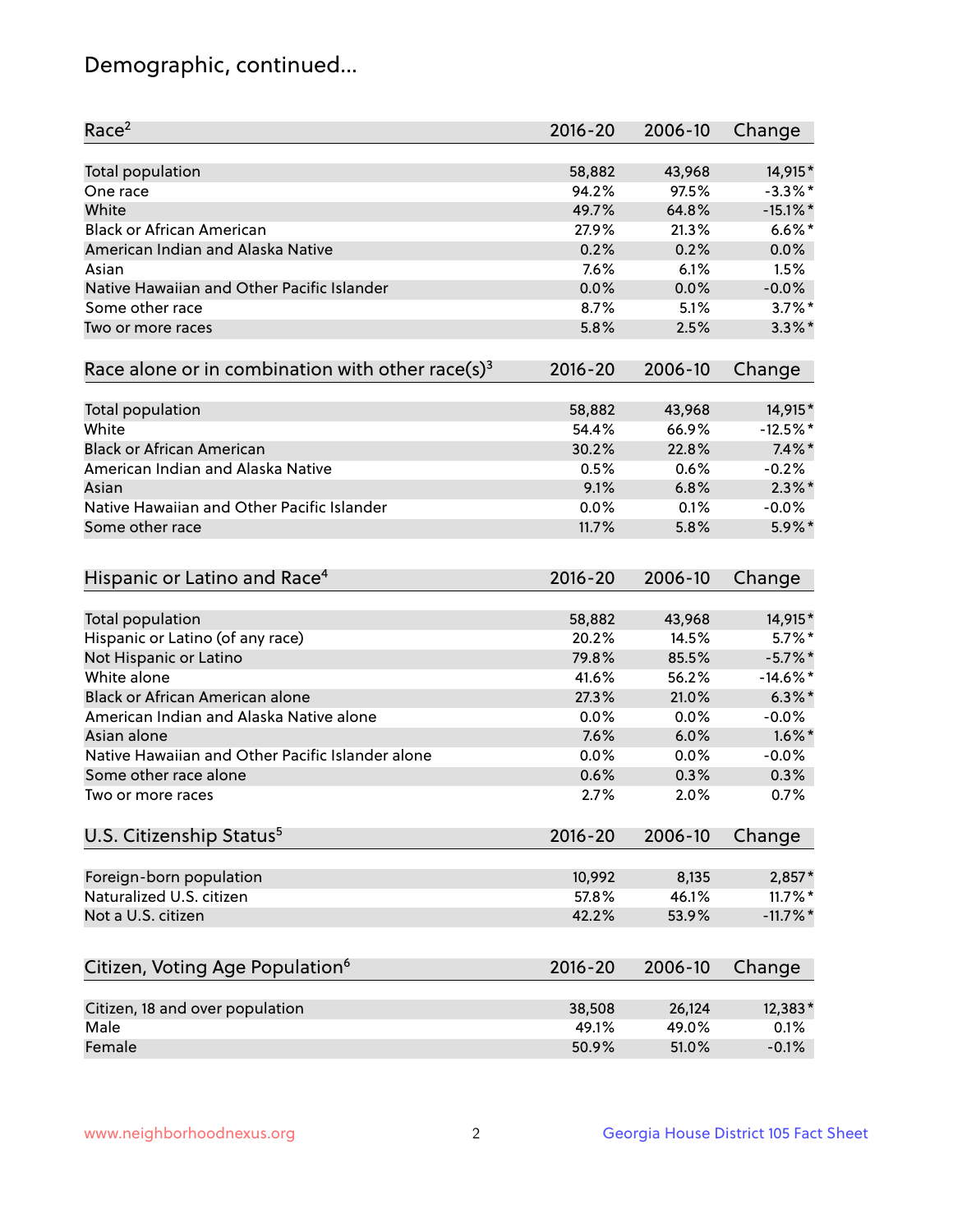## Demographic, continued...

| Race <sup>2</sup>                                            | $2016 - 20$ | 2006-10 | Change      |
|--------------------------------------------------------------|-------------|---------|-------------|
| Total population                                             | 58,882      | 43,968  | 14,915*     |
| One race                                                     | 94.2%       | 97.5%   | $-3.3\%$ *  |
| White                                                        | 49.7%       | 64.8%   | $-15.1\%$ * |
| <b>Black or African American</b>                             | 27.9%       | 21.3%   | $6.6\%$ *   |
| American Indian and Alaska Native                            | 0.2%        | 0.2%    | 0.0%        |
| Asian                                                        | 7.6%        | 6.1%    | 1.5%        |
| Native Hawaiian and Other Pacific Islander                   | 0.0%        | 0.0%    | $-0.0%$     |
| Some other race                                              | 8.7%        | 5.1%    | $3.7\%$ *   |
| Two or more races                                            | 5.8%        | 2.5%    | $3.3\%$ *   |
|                                                              |             |         |             |
| Race alone or in combination with other race(s) <sup>3</sup> | $2016 - 20$ | 2006-10 | Change      |
| Total population                                             | 58,882      | 43,968  | 14,915*     |
| White                                                        | 54.4%       | 66.9%   | $-12.5%$ *  |
| <b>Black or African American</b>                             | 30.2%       | 22.8%   | $7.4\%$ *   |
| American Indian and Alaska Native                            | 0.5%        | 0.6%    | $-0.2%$     |
| Asian                                                        | 9.1%        | 6.8%    | $2.3\%$ *   |
| Native Hawaiian and Other Pacific Islander                   | 0.0%        | 0.1%    | $-0.0%$     |
| Some other race                                              | 11.7%       | 5.8%    | 5.9%*       |
|                                                              |             |         |             |
| Hispanic or Latino and Race <sup>4</sup>                     | $2016 - 20$ | 2006-10 | Change      |
| Total population                                             | 58,882      | 43,968  | 14,915*     |
| Hispanic or Latino (of any race)                             | 20.2%       | 14.5%   | $5.7\%$ *   |
| Not Hispanic or Latino                                       | 79.8%       | 85.5%   | $-5.7\%$ *  |
| White alone                                                  | 41.6%       | 56.2%   | $-14.6\%$ * |
| Black or African American alone                              | 27.3%       | 21.0%   | $6.3\%$ *   |
| American Indian and Alaska Native alone                      | 0.0%        | 0.0%    | $-0.0%$     |
| Asian alone                                                  | 7.6%        | 6.0%    | $1.6\%$ *   |
| Native Hawaiian and Other Pacific Islander alone             | 0.0%        | 0.0%    | $-0.0%$     |
| Some other race alone                                        | 0.6%        | 0.3%    | 0.3%        |
| Two or more races                                            | 2.7%        | 2.0%    | 0.7%        |
|                                                              |             |         |             |
| U.S. Citizenship Status <sup>5</sup>                         | $2016 - 20$ | 2006-10 | Change      |
| Foreign-born population                                      | 10,992      | 8,135   | $2,857*$    |
| Naturalized U.S. citizen                                     | 57.8%       | 46.1%   | $11.7\%$ *  |
| Not a U.S. citizen                                           | 42.2%       | 53.9%   | $-11.7\%$ * |
|                                                              |             |         |             |
| Citizen, Voting Age Population <sup>6</sup>                  | $2016 - 20$ | 2006-10 | Change      |
| Citizen, 18 and over population                              | 38,508      | 26,124  | 12,383*     |
| Male                                                         | 49.1%       | 49.0%   | 0.1%        |
| Female                                                       | 50.9%       | 51.0%   | $-0.1%$     |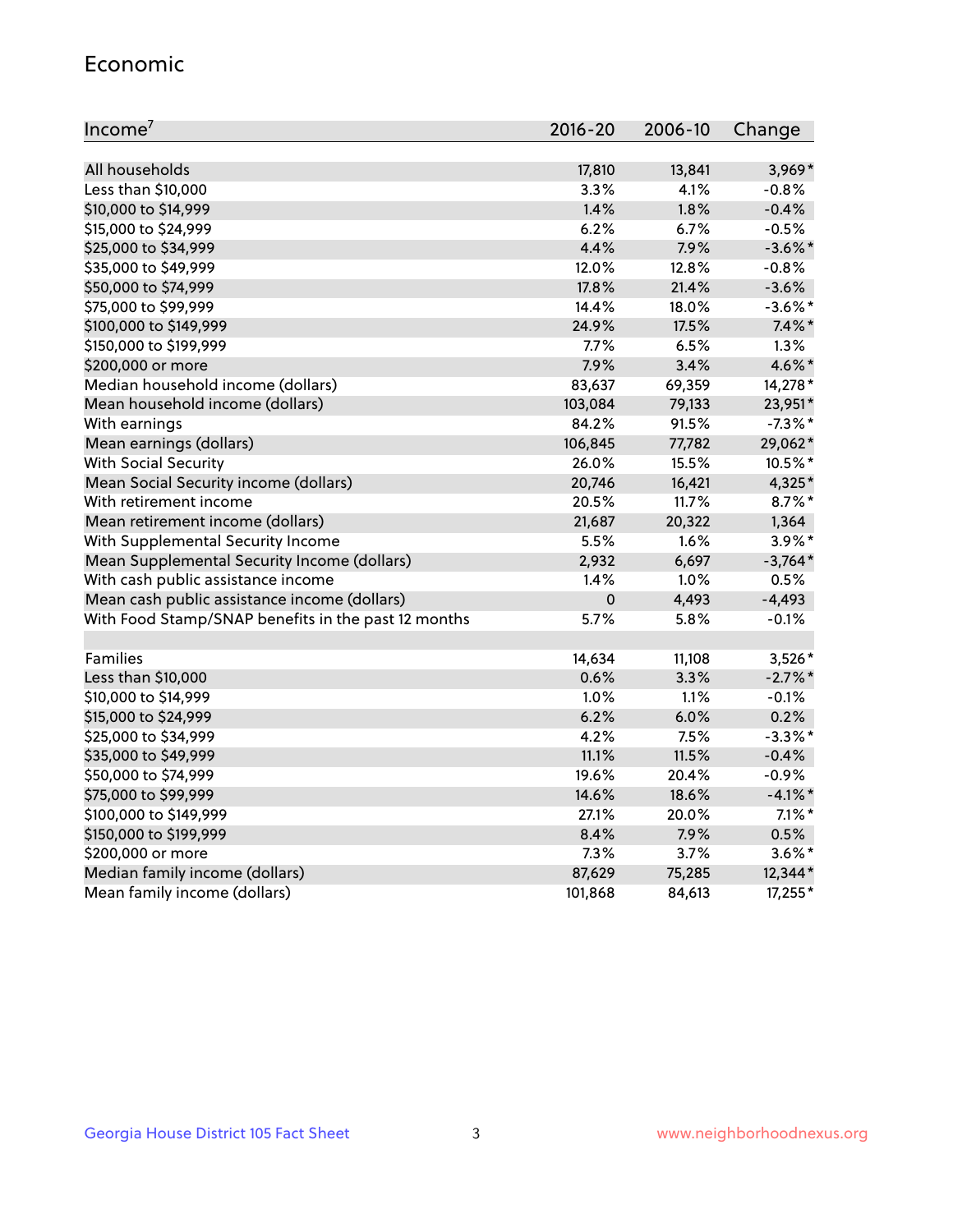#### Economic

| Income <sup>7</sup>                                 | $2016 - 20$ | 2006-10 | Change     |
|-----------------------------------------------------|-------------|---------|------------|
|                                                     |             |         |            |
| All households                                      | 17,810      | 13,841  | $3,969*$   |
| Less than \$10,000                                  | 3.3%        | 4.1%    | $-0.8%$    |
| \$10,000 to \$14,999                                | 1.4%        | 1.8%    | $-0.4%$    |
| \$15,000 to \$24,999                                | 6.2%        | 6.7%    | $-0.5%$    |
| \$25,000 to \$34,999                                | 4.4%        | 7.9%    | $-3.6\%$ * |
| \$35,000 to \$49,999                                | 12.0%       | 12.8%   | $-0.8%$    |
| \$50,000 to \$74,999                                | 17.8%       | 21.4%   | $-3.6%$    |
| \$75,000 to \$99,999                                | 14.4%       | 18.0%   | $-3.6\%$ * |
| \$100,000 to \$149,999                              | 24.9%       | 17.5%   | $7.4\%$ *  |
| \$150,000 to \$199,999                              | 7.7%        | 6.5%    | 1.3%       |
| \$200,000 or more                                   | 7.9%        | 3.4%    | 4.6%*      |
| Median household income (dollars)                   | 83,637      | 69,359  | 14,278 *   |
| Mean household income (dollars)                     | 103,084     | 79,133  | 23,951*    |
| With earnings                                       | 84.2%       | 91.5%   | $-7.3\%$ * |
| Mean earnings (dollars)                             | 106,845     | 77,782  | 29,062*    |
| <b>With Social Security</b>                         | 26.0%       | 15.5%   | 10.5%*     |
| Mean Social Security income (dollars)               | 20,746      | 16,421  | 4,325*     |
| With retirement income                              | 20.5%       | 11.7%   | $8.7\%$ *  |
| Mean retirement income (dollars)                    | 21,687      | 20,322  | 1,364      |
| With Supplemental Security Income                   | 5.5%        | 1.6%    | 3.9%*      |
| Mean Supplemental Security Income (dollars)         | 2,932       | 6,697   | $-3,764*$  |
| With cash public assistance income                  | 1.4%        | 1.0%    | 0.5%       |
| Mean cash public assistance income (dollars)        | $\mathbf 0$ | 4,493   | $-4,493$   |
| With Food Stamp/SNAP benefits in the past 12 months | 5.7%        | 5.8%    | $-0.1%$    |
|                                                     |             |         |            |
| Families                                            | 14,634      | 11,108  | 3,526*     |
| Less than \$10,000                                  | 0.6%        | 3.3%    | $-2.7%$ *  |
| \$10,000 to \$14,999                                | 1.0%        | 1.1%    | $-0.1%$    |
| \$15,000 to \$24,999                                | 6.2%        | 6.0%    | 0.2%       |
| \$25,000 to \$34,999                                | 4.2%        | 7.5%    | $-3.3\%$ * |
| \$35,000 to \$49,999                                | 11.1%       | 11.5%   | $-0.4%$    |
| \$50,000 to \$74,999                                | 19.6%       | 20.4%   | $-0.9%$    |
| \$75,000 to \$99,999                                | 14.6%       | 18.6%   | $-4.1\%$ * |
| \$100,000 to \$149,999                              | 27.1%       | 20.0%   | $7.1\%$ *  |
| \$150,000 to \$199,999                              | 8.4%        | 7.9%    | 0.5%       |
| \$200,000 or more                                   | 7.3%        | 3.7%    | $3.6\%$ *  |
| Median family income (dollars)                      | 87,629      | 75,285  | 12,344*    |
| Mean family income (dollars)                        | 101,868     | 84,613  | 17,255*    |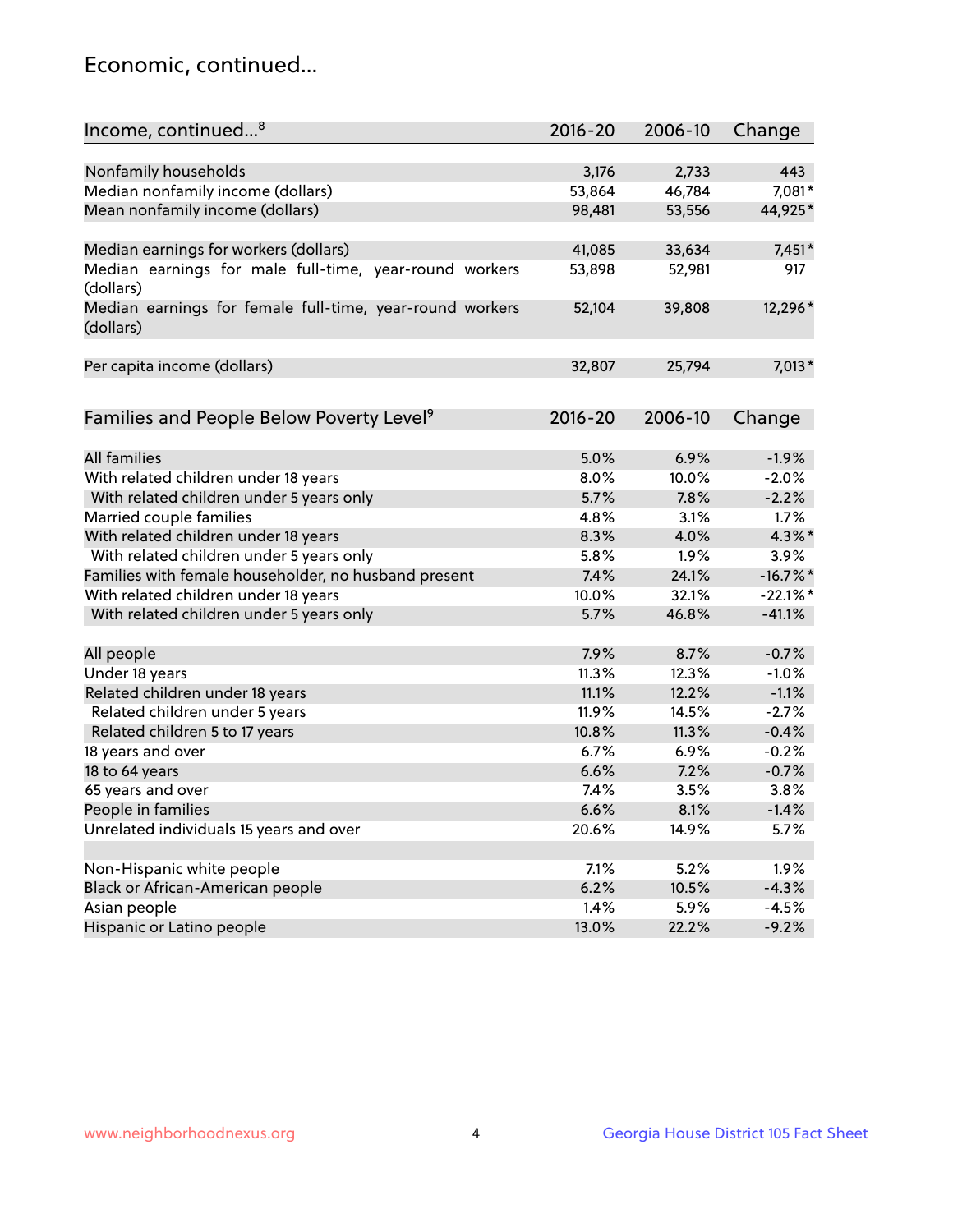## Economic, continued...

| Income, continued <sup>8</sup>                                        | $2016 - 20$ | 2006-10 | Change      |
|-----------------------------------------------------------------------|-------------|---------|-------------|
|                                                                       |             |         |             |
| Nonfamily households                                                  | 3,176       | 2,733   | 443         |
| Median nonfamily income (dollars)                                     | 53,864      | 46,784  | 7,081*      |
| Mean nonfamily income (dollars)                                       | 98,481      | 53,556  | 44,925*     |
| Median earnings for workers (dollars)                                 | 41,085      | 33,634  | $7,451*$    |
| Median earnings for male full-time, year-round workers                | 53,898      | 52,981  | 917         |
| (dollars)                                                             |             |         |             |
| Median earnings for female full-time, year-round workers<br>(dollars) | 52,104      | 39,808  | 12,296*     |
| Per capita income (dollars)                                           | 32,807      | 25,794  | 7,013*      |
|                                                                       |             |         |             |
| Families and People Below Poverty Level <sup>9</sup>                  | 2016-20     | 2006-10 | Change      |
|                                                                       |             |         |             |
| <b>All families</b>                                                   | 5.0%        | 6.9%    | $-1.9%$     |
| With related children under 18 years                                  | 8.0%        | 10.0%   | $-2.0%$     |
| With related children under 5 years only                              | 5.7%        | 7.8%    | $-2.2%$     |
| Married couple families                                               | 4.8%        | 3.1%    | 1.7%        |
| With related children under 18 years                                  | 8.3%        | 4.0%    | $4.3\%$ *   |
| With related children under 5 years only                              | 5.8%        | 1.9%    | 3.9%        |
| Families with female householder, no husband present                  | 7.4%        | 24.1%   | $-16.7\%$ * |
| With related children under 18 years                                  | 10.0%       | 32.1%   | $-22.1%$    |
| With related children under 5 years only                              | 5.7%        | 46.8%   | $-41.1%$    |
| All people                                                            | 7.9%        | 8.7%    | $-0.7%$     |
| Under 18 years                                                        | 11.3%       | 12.3%   | $-1.0%$     |
| Related children under 18 years                                       | 11.1%       | 12.2%   | $-1.1%$     |
| Related children under 5 years                                        | 11.9%       | 14.5%   | $-2.7%$     |
| Related children 5 to 17 years                                        | 10.8%       | 11.3%   | $-0.4%$     |
| 18 years and over                                                     | 6.7%        | 6.9%    | $-0.2%$     |
| 18 to 64 years                                                        | 6.6%        | 7.2%    | $-0.7%$     |
| 65 years and over                                                     | 7.4%        | 3.5%    | 3.8%        |
| People in families                                                    | 6.6%        | 8.1%    | $-1.4%$     |
| Unrelated individuals 15 years and over                               | 20.6%       | 14.9%   | 5.7%        |
|                                                                       |             |         |             |
| Non-Hispanic white people                                             | 7.1%        | 5.2%    | 1.9%        |
| Black or African-American people                                      | 6.2%        | 10.5%   | $-4.3%$     |
| Asian people                                                          | 1.4%        | 5.9%    | $-4.5%$     |
| Hispanic or Latino people                                             | 13.0%       | 22.2%   | $-9.2%$     |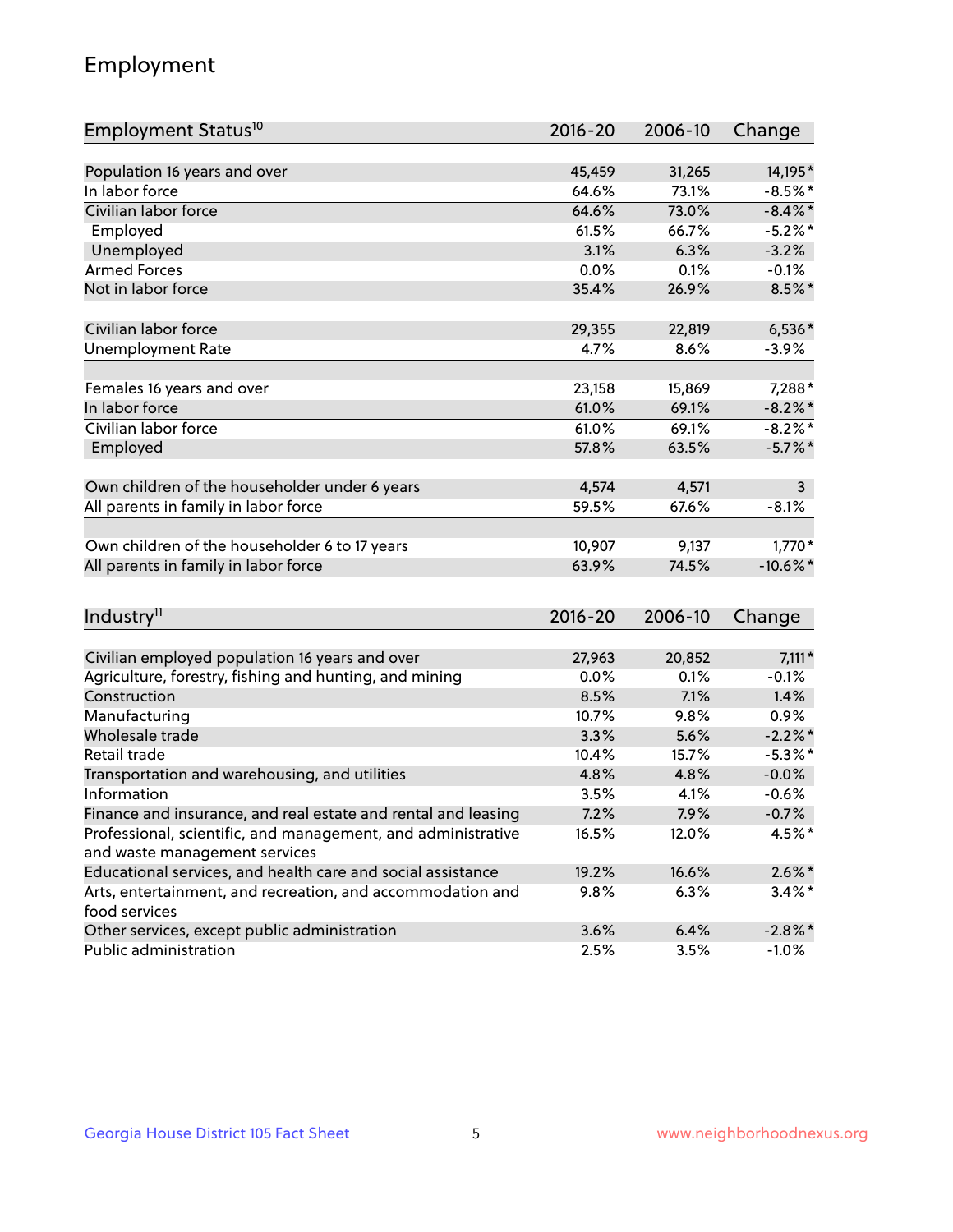## Employment

| Employment Status <sup>10</sup>                               | $2016 - 20$ | 2006-10 | Change      |
|---------------------------------------------------------------|-------------|---------|-------------|
|                                                               |             |         |             |
| Population 16 years and over                                  | 45,459      | 31,265  | 14,195*     |
| In labor force                                                | 64.6%       | 73.1%   | $-8.5%$ *   |
| Civilian labor force                                          | 64.6%       | 73.0%   | $-8.4\%$ *  |
| Employed                                                      | 61.5%       | 66.7%   | $-5.2\%$ *  |
| Unemployed                                                    | 3.1%        | 6.3%    | $-3.2%$     |
| <b>Armed Forces</b>                                           | 0.0%        | 0.1%    | $-0.1%$     |
| Not in labor force                                            | 35.4%       | 26.9%   | 8.5%*       |
| Civilian labor force                                          | 29,355      | 22,819  | $6,536*$    |
| <b>Unemployment Rate</b>                                      | 4.7%        | 8.6%    | $-3.9%$     |
|                                                               |             |         |             |
| Females 16 years and over                                     | 23,158      | 15,869  | 7,288*      |
| In labor force                                                | 61.0%       | 69.1%   | $-8.2\%$ *  |
| Civilian labor force                                          | 61.0%       | 69.1%   | $-8.2%$ *   |
| Employed                                                      | 57.8%       | 63.5%   | $-5.7\%$ *  |
| Own children of the householder under 6 years                 | 4,574       | 4,571   | 3           |
| All parents in family in labor force                          | 59.5%       | 67.6%   | $-8.1%$     |
|                                                               |             |         |             |
| Own children of the householder 6 to 17 years                 | 10,907      | 9,137   | $1,770*$    |
| All parents in family in labor force                          | 63.9%       | 74.5%   | $-10.6\%$ * |
|                                                               |             |         |             |
| Industry <sup>11</sup>                                        | 2016-20     | 2006-10 | Change      |
| Civilian employed population 16 years and over                | 27,963      | 20,852  | $7,111*$    |
| Agriculture, forestry, fishing and hunting, and mining        | 0.0%        | 0.1%    | $-0.1%$     |
| Construction                                                  | 8.5%        | 7.1%    | 1.4%        |
| Manufacturing                                                 | 10.7%       | 9.8%    | 0.9%        |
| Wholesale trade                                               | 3.3%        | 5.6%    | $-2.2\%$ *  |
| Retail trade                                                  | 10.4%       | 15.7%   | $-5.3\%$ *  |
| Transportation and warehousing, and utilities                 | 4.8%        | 4.8%    | $-0.0%$     |
| Information                                                   | 3.5%        | 4.1%    | $-0.6%$     |
| Finance and insurance, and real estate and rental and leasing | 7.2%        | 7.9%    | $-0.7%$     |
| Professional, scientific, and management, and administrative  | 16.5%       | 12.0%   | 4.5%*       |
| and waste management services                                 |             |         |             |
| Educational services, and health care and social assistance   | 19.2%       | 16.6%   | $2.6\%$ *   |
| Arts, entertainment, and recreation, and accommodation and    | 9.8%        | 6.3%    | $3.4\%$ *   |
| food services                                                 |             |         |             |
| Other services, except public administration                  | 3.6%        | 6.4%    | $-2.8\%$ *  |
| Public administration                                         | 2.5%        | 3.5%    | $-1.0%$     |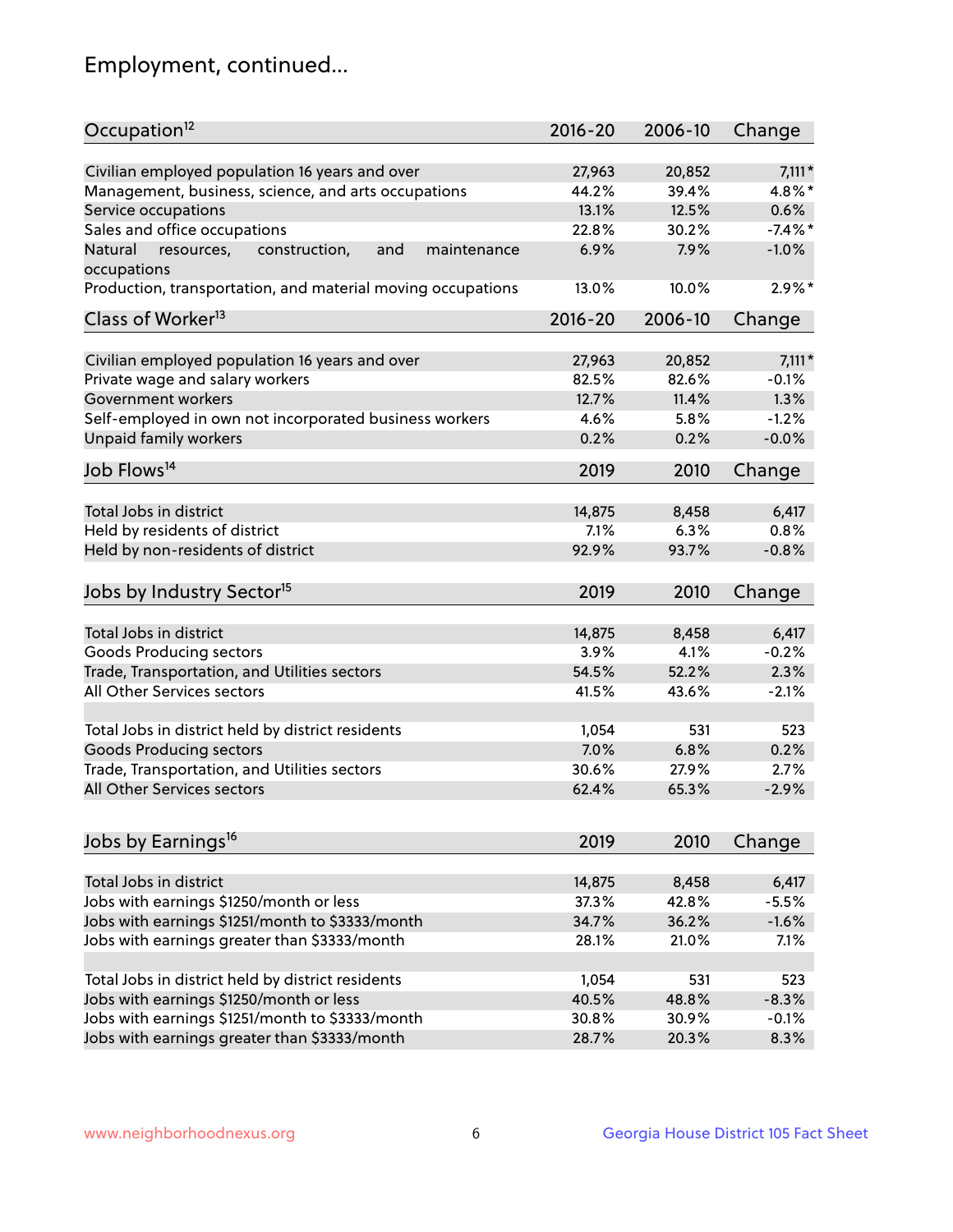## Employment, continued...

| Occupation <sup>12</sup>                                     | $2016 - 20$ | 2006-10 | Change     |
|--------------------------------------------------------------|-------------|---------|------------|
| Civilian employed population 16 years and over               | 27,963      | 20,852  | $7,111*$   |
| Management, business, science, and arts occupations          | 44.2%       | 39.4%   | 4.8%*      |
| Service occupations                                          | 13.1%       | 12.5%   | 0.6%       |
| Sales and office occupations                                 | 22.8%       | 30.2%   | $-7.4\%$ * |
| Natural<br>resources,<br>and<br>construction,<br>maintenance | 6.9%        | 7.9%    | $-1.0%$    |
| occupations                                                  |             |         |            |
| Production, transportation, and material moving occupations  | 13.0%       | 10.0%   | $2.9\%$ *  |
| Class of Worker <sup>13</sup>                                | $2016 - 20$ | 2006-10 | Change     |
| Civilian employed population 16 years and over               | 27,963      | 20,852  | $7,111*$   |
| Private wage and salary workers                              | 82.5%       | 82.6%   | $-0.1%$    |
| Government workers                                           | 12.7%       | 11.4%   | 1.3%       |
| Self-employed in own not incorporated business workers       | 4.6%        | 5.8%    | $-1.2%$    |
| Unpaid family workers                                        | 0.2%        | 0.2%    | $-0.0%$    |
| Job Flows <sup>14</sup>                                      | 2019        | 2010    | Change     |
| Total Jobs in district                                       | 14,875      | 8,458   | 6,417      |
| Held by residents of district                                | 7.1%        | 6.3%    | 0.8%       |
| Held by non-residents of district                            | 92.9%       | 93.7%   | $-0.8%$    |
|                                                              |             |         |            |
| Jobs by Industry Sector <sup>15</sup>                        | 2019        | 2010    | Change     |
| Total Jobs in district                                       | 14,875      | 8,458   | 6,417      |
| Goods Producing sectors                                      | 3.9%        | 4.1%    | $-0.2%$    |
| Trade, Transportation, and Utilities sectors                 | 54.5%       | 52.2%   | 2.3%       |
| All Other Services sectors                                   | 41.5%       | 43.6%   | $-2.1%$    |
|                                                              |             |         |            |
| Total Jobs in district held by district residents            | 1,054       | 531     | 523        |
| <b>Goods Producing sectors</b>                               | 7.0%        | 6.8%    | 0.2%       |
| Trade, Transportation, and Utilities sectors                 | 30.6%       | 27.9%   | 2.7%       |
| All Other Services sectors                                   | 62.4%       | 65.3%   | $-2.9%$    |
|                                                              |             |         |            |
| Jobs by Earnings <sup>16</sup>                               | 2019        | 2010    | Change     |
| Total Jobs in district                                       | 14,875      | 8,458   | 6,417      |
| Jobs with earnings \$1250/month or less                      | 37.3%       | 42.8%   | $-5.5%$    |
| Jobs with earnings \$1251/month to \$3333/month              | 34.7%       | 36.2%   | $-1.6%$    |
| Jobs with earnings greater than \$3333/month                 | 28.1%       | 21.0%   | 7.1%       |
|                                                              |             |         |            |
| Total Jobs in district held by district residents            | 1,054       | 531     | 523        |
| Jobs with earnings \$1250/month or less                      | 40.5%       | 48.8%   | $-8.3%$    |
| Jobs with earnings \$1251/month to \$3333/month              | 30.8%       | 30.9%   | $-0.1%$    |
| Jobs with earnings greater than \$3333/month                 | 28.7%       | 20.3%   | 8.3%       |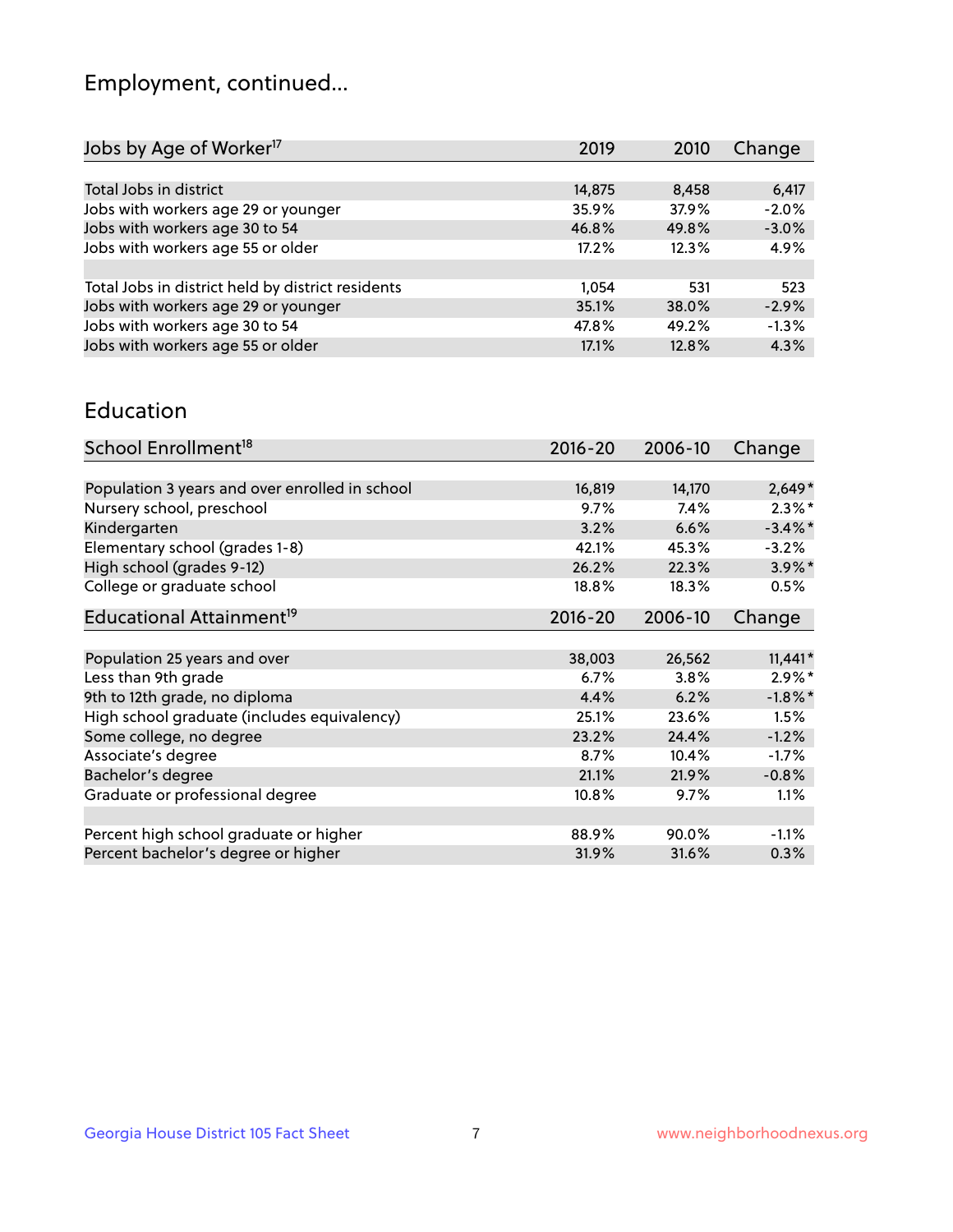## Employment, continued...

| 2019   | 2010  | Change  |
|--------|-------|---------|
|        |       |         |
| 14,875 | 8,458 | 6,417   |
| 35.9%  | 37.9% | $-2.0%$ |
| 46.8%  | 49.8% | $-3.0%$ |
| 17.2%  | 12.3% | 4.9%    |
|        |       |         |
| 1.054  | 531   | 523     |
| 35.1%  | 38.0% | $-2.9%$ |
| 47.8%  | 49.2% | $-1.3%$ |
| 17.1%  | 12.8% | 4.3%    |
|        |       |         |

#### Education

| School Enrollment <sup>18</sup>                | $2016 - 20$ | 2006-10 | Change     |
|------------------------------------------------|-------------|---------|------------|
|                                                |             |         |            |
| Population 3 years and over enrolled in school | 16,819      | 14,170  | $2,649*$   |
| Nursery school, preschool                      | 9.7%        | 7.4%    | $2.3\%$ *  |
| Kindergarten                                   | 3.2%        | 6.6%    | $-3.4\%$ * |
| Elementary school (grades 1-8)                 | 42.1%       | 45.3%   | $-3.2%$    |
| High school (grades 9-12)                      | 26.2%       | 22.3%   | $3.9\%$ *  |
| College or graduate school                     | 18.8%       | 18.3%   | 0.5%       |
| Educational Attainment <sup>19</sup>           | $2016 - 20$ | 2006-10 | Change     |
|                                                |             |         |            |
| Population 25 years and over                   | 38,003      | 26,562  | $11,441*$  |
| Less than 9th grade                            | 6.7%        | 3.8%    | $2.9\%*$   |
| 9th to 12th grade, no diploma                  | 4.4%        | 6.2%    | $-1.8\%$ * |
| High school graduate (includes equivalency)    | 25.1%       | 23.6%   | 1.5%       |
| Some college, no degree                        | 23.2%       | 24.4%   | $-1.2%$    |
| Associate's degree                             | 8.7%        | 10.4%   | $-1.7%$    |
| Bachelor's degree                              | 21.1%       | 21.9%   | $-0.8%$    |
| Graduate or professional degree                | 10.8%       | 9.7%    | 1.1%       |
|                                                |             |         |            |
| Percent high school graduate or higher         | 88.9%       | 90.0%   | $-1.1\%$   |
| Percent bachelor's degree or higher            | 31.9%       | 31.6%   | 0.3%       |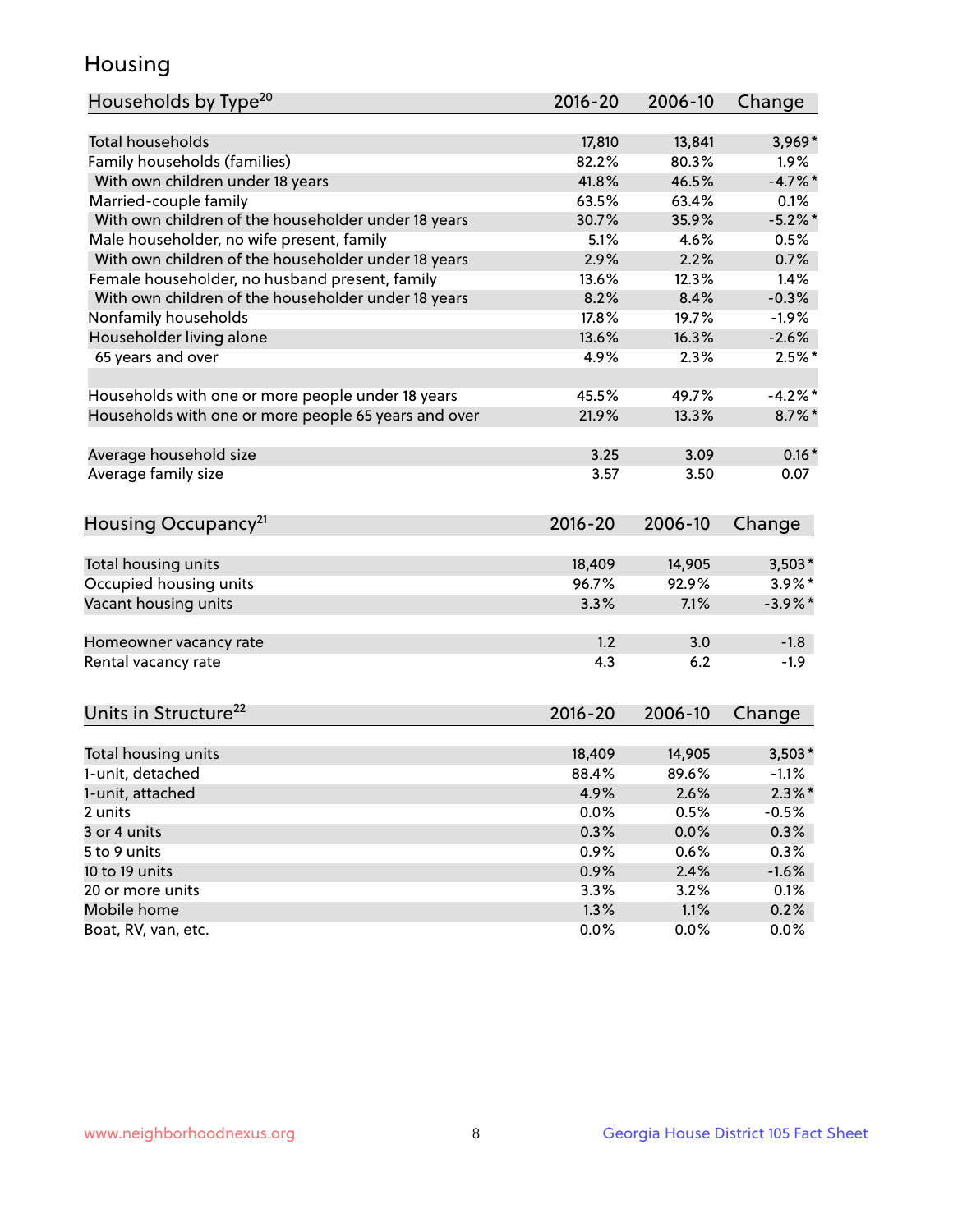## Housing

| Households by Type <sup>20</sup>                     | 2016-20     | 2006-10 | Change     |
|------------------------------------------------------|-------------|---------|------------|
|                                                      |             |         |            |
| <b>Total households</b>                              | 17,810      | 13,841  | $3,969*$   |
| Family households (families)                         | 82.2%       | 80.3%   | $1.9\%$    |
| With own children under 18 years                     | 41.8%       | 46.5%   | $-4.7\%$ * |
| Married-couple family                                | 63.5%       | 63.4%   | 0.1%       |
| With own children of the householder under 18 years  | 30.7%       | 35.9%   | $-5.2%$    |
| Male householder, no wife present, family            | 5.1%        | 4.6%    | 0.5%       |
| With own children of the householder under 18 years  | 2.9%        | 2.2%    | 0.7%       |
| Female householder, no husband present, family       | 13.6%       | 12.3%   | 1.4%       |
| With own children of the householder under 18 years  | 8.2%        | 8.4%    | $-0.3%$    |
| Nonfamily households                                 | 17.8%       | 19.7%   | $-1.9%$    |
| Householder living alone                             | 13.6%       | 16.3%   | $-2.6%$    |
| 65 years and over                                    | 4.9%        | 2.3%    | $2.5%$ *   |
|                                                      |             |         |            |
| Households with one or more people under 18 years    | 45.5%       | 49.7%   | $-4.2%$    |
| Households with one or more people 65 years and over | 21.9%       | 13.3%   | $8.7\%$ *  |
|                                                      |             |         |            |
| Average household size                               | 3.25        | 3.09    | $0.16*$    |
| Average family size                                  | 3.57        | 3.50    | 0.07       |
|                                                      |             |         |            |
| Housing Occupancy <sup>21</sup>                      | 2016-20     | 2006-10 | Change     |
|                                                      |             |         |            |
| Total housing units                                  | 18,409      | 14,905  | $3,503*$   |
| Occupied housing units                               | 96.7%       | 92.9%   | $3.9\%$ *  |
| Vacant housing units                                 | 3.3%        | 7.1%    | $-3.9\%$ * |
|                                                      |             |         |            |
| Homeowner vacancy rate                               | 1.2         | 3.0     | $-1.8$     |
| Rental vacancy rate                                  | 4.3         | 6.2     | $-1.9$     |
|                                                      |             |         |            |
| Units in Structure <sup>22</sup>                     | $2016 - 20$ | 2006-10 | Change     |
|                                                      |             |         |            |
| Total housing units                                  | 18,409      | 14,905  | $3,503*$   |
| 1-unit, detached                                     | 88.4%       | 89.6%   | $-1.1%$    |
| 1-unit, attached                                     | 4.9%        | 2.6%    | $2.3\%$ *  |
| 2 units                                              | 0.0%        | 0.5%    | $-0.5%$    |
| 3 or 4 units                                         | 0.3%        | 0.0%    | 0.3%       |
| 5 to 9 units                                         | 0.9%        | 0.6%    | 0.3%       |
| 10 to 19 units                                       | 0.9%        | 2.4%    | $-1.6%$    |
| 20 or more units                                     | 3.3%        | 3.2%    | 0.1%       |
| Mobile home                                          | 1.3%        | 1.1%    | 0.2%       |
| Boat, RV, van, etc.                                  | 0.0%        | 0.0%    | 0.0%       |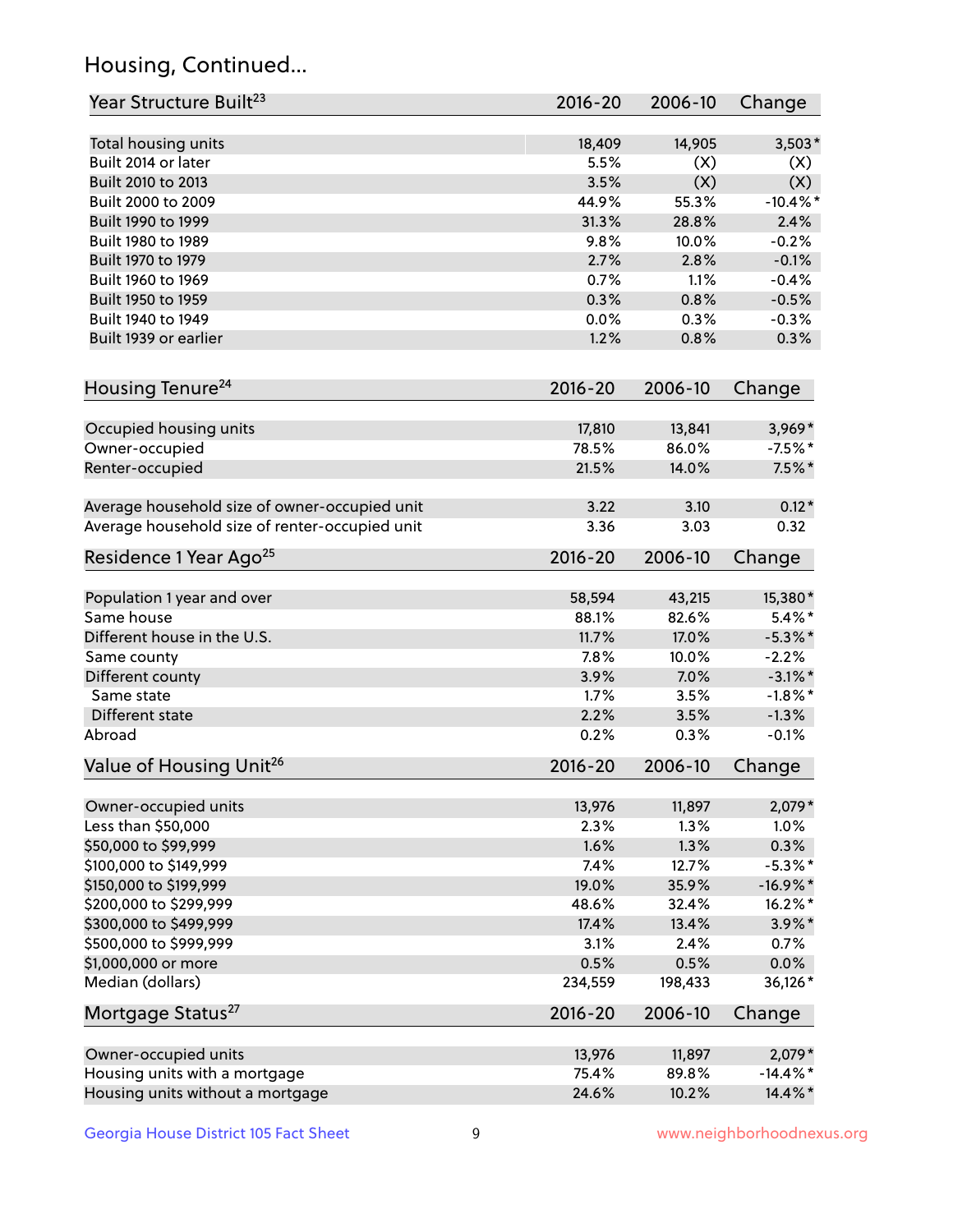## Housing, Continued...

| Year Structure Built <sup>23</sup>             | 2016-20     | 2006-10 | Change      |
|------------------------------------------------|-------------|---------|-------------|
| Total housing units                            | 18,409      | 14,905  | $3,503*$    |
| Built 2014 or later                            | 5.5%        | (X)     | (X)         |
| Built 2010 to 2013                             | 3.5%        | (X)     | (X)         |
| Built 2000 to 2009                             | 44.9%       | 55.3%   | $-10.4\%$ * |
| Built 1990 to 1999                             | 31.3%       | 28.8%   | 2.4%        |
| Built 1980 to 1989                             | 9.8%        | 10.0%   | $-0.2%$     |
| Built 1970 to 1979                             | 2.7%        | 2.8%    | $-0.1%$     |
| Built 1960 to 1969                             | 0.7%        | 1.1%    | $-0.4%$     |
| Built 1950 to 1959                             | 0.3%        | 0.8%    | $-0.5%$     |
| Built 1940 to 1949                             | 0.0%        | 0.3%    | $-0.3%$     |
| Built 1939 or earlier                          | 1.2%        | 0.8%    | 0.3%        |
| Housing Tenure <sup>24</sup>                   | $2016 - 20$ | 2006-10 | Change      |
|                                                |             |         |             |
| Occupied housing units                         | 17,810      | 13,841  | $3,969*$    |
| Owner-occupied                                 | 78.5%       | 86.0%   | $-7.5%$ *   |
| Renter-occupied                                | 21.5%       | 14.0%   | $7.5\%$ *   |
| Average household size of owner-occupied unit  | 3.22        | 3.10    | $0.12*$     |
| Average household size of renter-occupied unit | 3.36        | 3.03    | 0.32        |
| Residence 1 Year Ago <sup>25</sup>             | $2016 - 20$ | 2006-10 | Change      |
| Population 1 year and over                     | 58,594      | 43,215  | 15,380*     |
| Same house                                     | 88.1%       | 82.6%   | $5.4\%$ *   |
| Different house in the U.S.                    | 11.7%       | 17.0%   | $-5.3\%$ *  |
| Same county                                    | 7.8%        | 10.0%   | $-2.2%$     |
| Different county                               | 3.9%        | 7.0%    | $-3.1\%$ *  |
| Same state                                     | 1.7%        | 3.5%    | $-1.8\%$ *  |
| Different state                                | 2.2%        | 3.5%    | $-1.3%$     |
| Abroad                                         | 0.2%        | 0.3%    | $-0.1%$     |
| Value of Housing Unit <sup>26</sup>            | $2016 - 20$ | 2006-10 | Change      |
| Owner-occupied units                           | 13,976      | 11,897  | 2,079*      |
| Less than \$50,000                             | 2.3%        | 1.3%    | 1.0%        |
| \$50,000 to \$99,999                           | 1.6%        | 1.3%    | 0.3%        |
| \$100,000 to \$149,999                         | 7.4%        | 12.7%   | $-5.3\%$ *  |
| \$150,000 to \$199,999                         | 19.0%       | 35.9%   | $-16.9%$ *  |
| \$200,000 to \$299,999                         | 48.6%       | 32.4%   | 16.2%*      |
| \$300,000 to \$499,999                         | 17.4%       | 13.4%   | $3.9\%$ *   |
| \$500,000 to \$999,999                         | 3.1%        | 2.4%    | 0.7%        |
| \$1,000,000 or more                            | 0.5%        | 0.5%    | 0.0%        |
| Median (dollars)                               | 234,559     | 198,433 | 36,126*     |
| Mortgage Status <sup>27</sup>                  | $2016 - 20$ | 2006-10 | Change      |
|                                                |             |         |             |
| Owner-occupied units                           | 13,976      | 11,897  | $2,079*$    |
| Housing units with a mortgage                  | 75.4%       | 89.8%   | $-14.4\%$ * |
| Housing units without a mortgage               | 24.6%       | 10.2%   | 14.4%*      |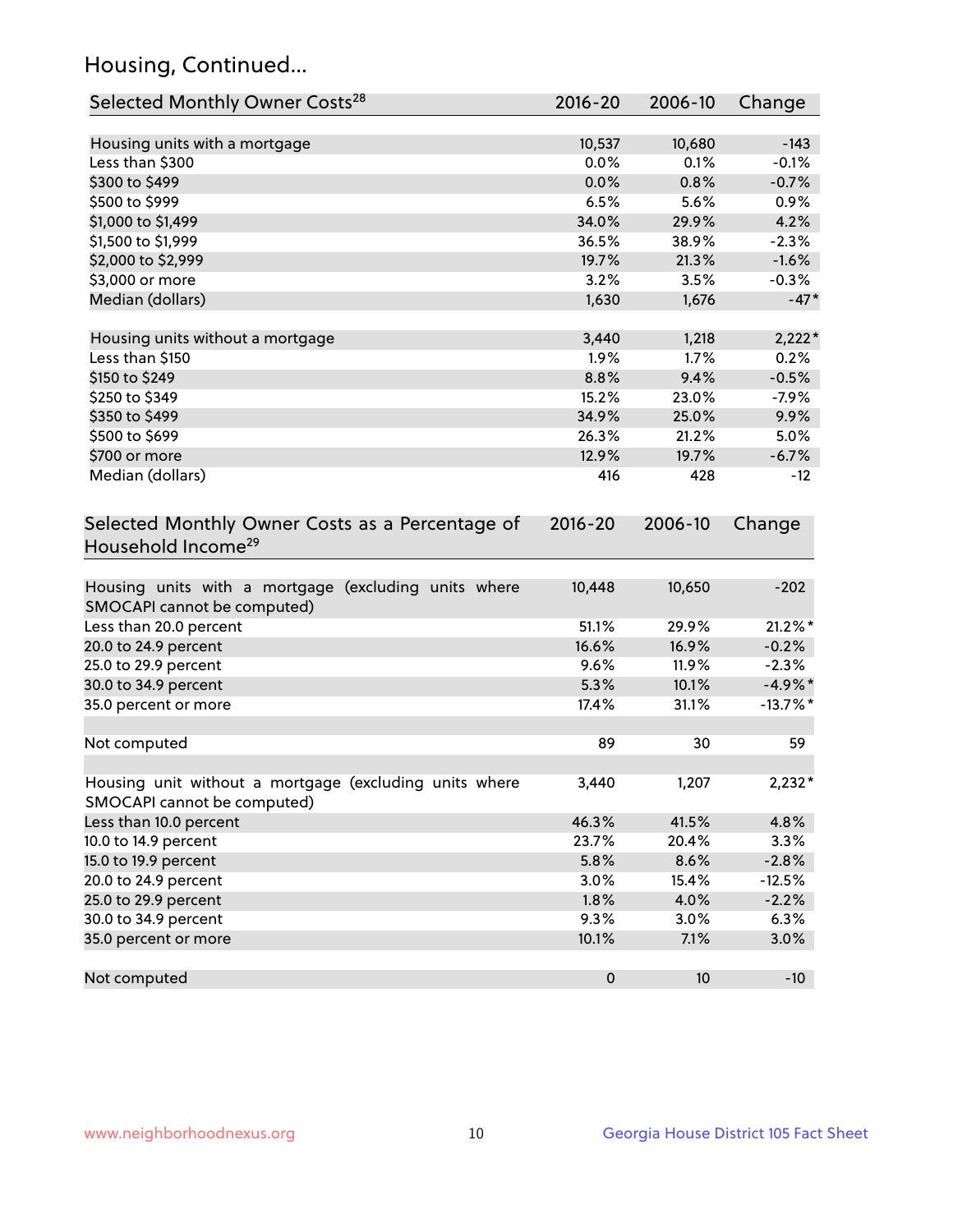## Housing, Continued...

| Selected Monthly Owner Costs <sup>28</sup>                                            | 2016-20     | 2006-10 | Change      |
|---------------------------------------------------------------------------------------|-------------|---------|-------------|
| Housing units with a mortgage                                                         | 10,537      | 10,680  | $-143$      |
| Less than \$300                                                                       | 0.0%        | 0.1%    | $-0.1%$     |
| \$300 to \$499                                                                        | 0.0%        | 0.8%    | $-0.7%$     |
| \$500 to \$999                                                                        | 6.5%        | 5.6%    | 0.9%        |
| \$1,000 to \$1,499                                                                    | 34.0%       | 29.9%   | 4.2%        |
| \$1,500 to \$1,999                                                                    | 36.5%       | 38.9%   | $-2.3%$     |
| \$2,000 to \$2,999                                                                    | 19.7%       | 21.3%   | $-1.6%$     |
| \$3,000 or more                                                                       | 3.2%        | 3.5%    | $-0.3%$     |
| Median (dollars)                                                                      | 1,630       | 1,676   | $-47*$      |
|                                                                                       |             |         |             |
| Housing units without a mortgage                                                      | 3,440       | 1,218   | $2,222*$    |
| Less than \$150                                                                       | 1.9%        | 1.7%    | 0.2%        |
| \$150 to \$249                                                                        | 8.8%        | 9.4%    | $-0.5%$     |
| \$250 to \$349                                                                        | 15.2%       | 23.0%   | $-7.9%$     |
| \$350 to \$499                                                                        | 34.9%       | 25.0%   | 9.9%        |
| \$500 to \$699                                                                        | 26.3%       | 21.2%   | 5.0%        |
| \$700 or more                                                                         | 12.9%       | 19.7%   | $-6.7%$     |
| Median (dollars)                                                                      | 416         | 428     | $-12$       |
| Selected Monthly Owner Costs as a Percentage of<br>Household Income <sup>29</sup>     | $2016 - 20$ | 2006-10 | Change      |
| Housing units with a mortgage (excluding units where<br>SMOCAPI cannot be computed)   | 10,448      | 10,650  | $-202$      |
| Less than 20.0 percent                                                                | 51.1%       | 29.9%   | $21.2\%$ *  |
| 20.0 to 24.9 percent                                                                  | 16.6%       | 16.9%   | $-0.2%$     |
| 25.0 to 29.9 percent                                                                  | 9.6%        | 11.9%   | $-2.3%$     |
| 30.0 to 34.9 percent                                                                  | 5.3%        | 10.1%   | $-4.9\%$ *  |
| 35.0 percent or more                                                                  | 17.4%       | 31.1%   | $-13.7\%$ * |
| Not computed                                                                          | 89          | 30      | 59          |
| Housing unit without a mortgage (excluding units where<br>SMOCAPI cannot be computed) | 3,440       | 1,207   | $2,232*$    |
| Less than 10.0 percent                                                                | 46.3%       | 41.5%   | 4.8%        |
| 10.0 to 14.9 percent                                                                  | 23.7%       | 20.4%   | 3.3%        |
| 15.0 to 19.9 percent                                                                  | 5.8%        | 8.6%    | $-2.8%$     |
| 20.0 to 24.9 percent                                                                  | 3.0%        | 15.4%   | $-12.5%$    |
| 25.0 to 29.9 percent                                                                  | 1.8%        | 4.0%    | $-2.2%$     |
| 30.0 to 34.9 percent                                                                  | 9.3%        | 3.0%    | 6.3%        |
| 35.0 percent or more                                                                  | 10.1%       | 7.1%    | 3.0%        |
| Not computed                                                                          | $\pmb{0}$   | 10      | $-10$       |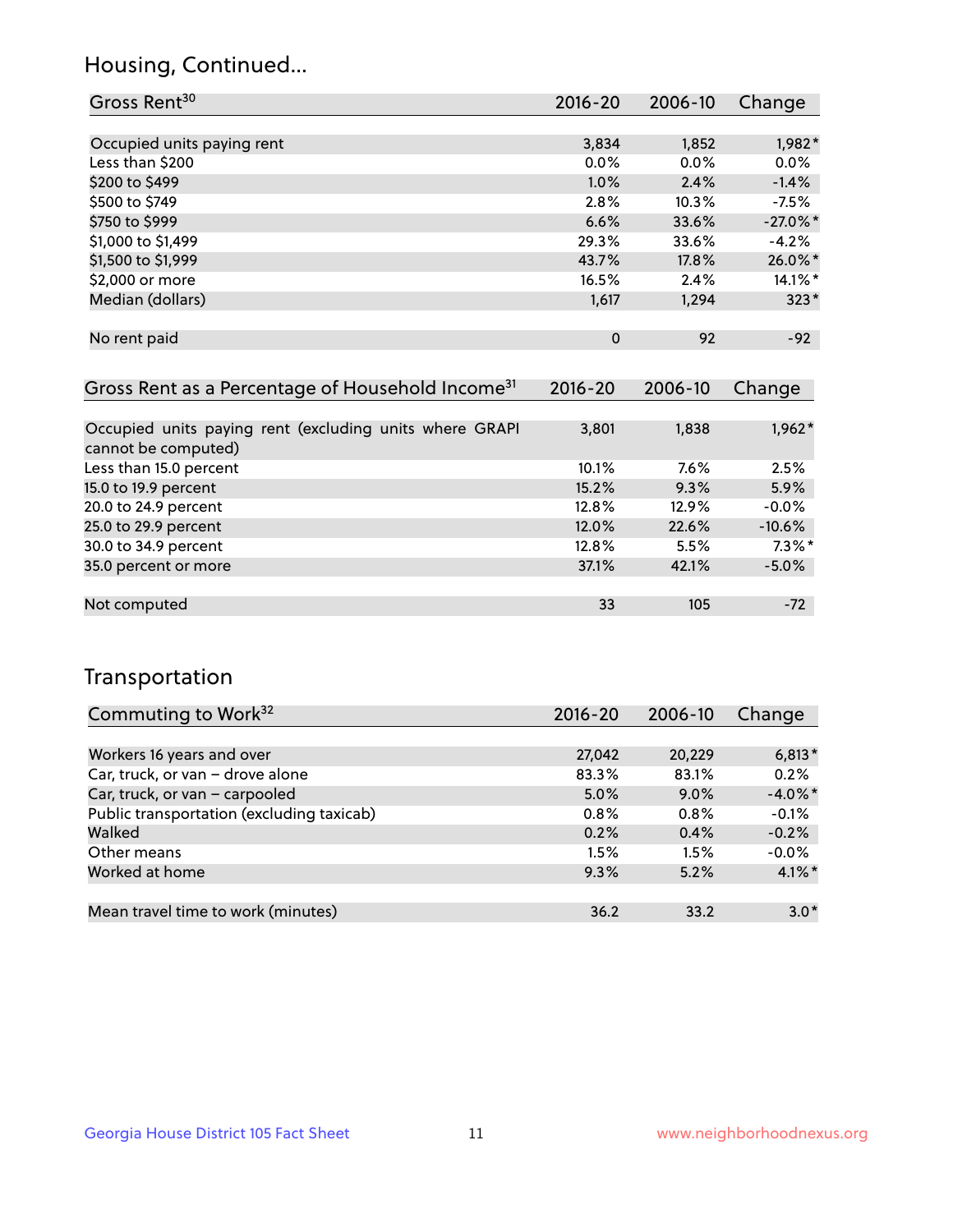## Housing, Continued...

| Gross Rent <sup>30</sup>   | 2016-20     | 2006-10 | Change      |
|----------------------------|-------------|---------|-------------|
|                            |             |         |             |
| Occupied units paying rent | 3,834       | 1,852   | 1,982*      |
| Less than \$200            | $0.0\%$     | 0.0%    | 0.0%        |
| \$200 to \$499             | 1.0%        | 2.4%    | $-1.4%$     |
| \$500 to \$749             | 2.8%        | 10.3%   | $-7.5%$     |
| \$750 to \$999             | 6.6%        | 33.6%   | $-27.0\%$ * |
| \$1,000 to \$1,499         | 29.3%       | 33.6%   | $-4.2%$     |
| \$1,500 to \$1,999         | 43.7%       | 17.8%   | 26.0%*      |
| \$2,000 or more            | 16.5%       | 2.4%    | 14.1%*      |
| Median (dollars)           | 1,617       | 1,294   | $323*$      |
|                            |             |         |             |
| No rent paid               | $\mathbf 0$ | 92      | $-92$       |

| Gross Rent as a Percentage of Household Income <sup>31</sup>                   | $2016 - 20$ | 2006-10  | Change    |
|--------------------------------------------------------------------------------|-------------|----------|-----------|
|                                                                                |             |          |           |
| Occupied units paying rent (excluding units where GRAPI<br>cannot be computed) | 3,801       | 1,838    | $1,962*$  |
| Less than 15.0 percent                                                         | 10.1%       | $7.6\%$  | 2.5%      |
| 15.0 to 19.9 percent                                                           | 15.2%       | 9.3%     | 5.9%      |
| 20.0 to 24.9 percent                                                           | 12.8%       | $12.9\%$ | $-0.0%$   |
| 25.0 to 29.9 percent                                                           | 12.0%       | 22.6%    | $-10.6%$  |
| 30.0 to 34.9 percent                                                           | 12.8%       | 5.5%     | $7.3\%$ * |
| 35.0 percent or more                                                           | 37.1%       | 42.1%    | $-5.0%$   |
| Not computed                                                                   | 33          | 105      | $-72$     |

## Transportation

| Commuting to Work <sup>32</sup>           | 2016-20 | 2006-10 | Change     |
|-------------------------------------------|---------|---------|------------|
|                                           |         |         |            |
| Workers 16 years and over                 | 27,042  | 20,229  | $6,813*$   |
| Car, truck, or van - drove alone          | 83.3%   | 83.1%   | 0.2%       |
| Car, truck, or van - carpooled            | 5.0%    | $9.0\%$ | $-4.0\%$ * |
| Public transportation (excluding taxicab) | 0.8%    | $0.8\%$ | $-0.1%$    |
| Walked                                    | 0.2%    | 0.4%    | $-0.2%$    |
| Other means                               | 1.5%    | 1.5%    | $-0.0%$    |
| Worked at home                            | 9.3%    | 5.2%    | $4.1\%$ *  |
|                                           |         |         |            |
| Mean travel time to work (minutes)        | 36.2    | 33.2    | $3.0*$     |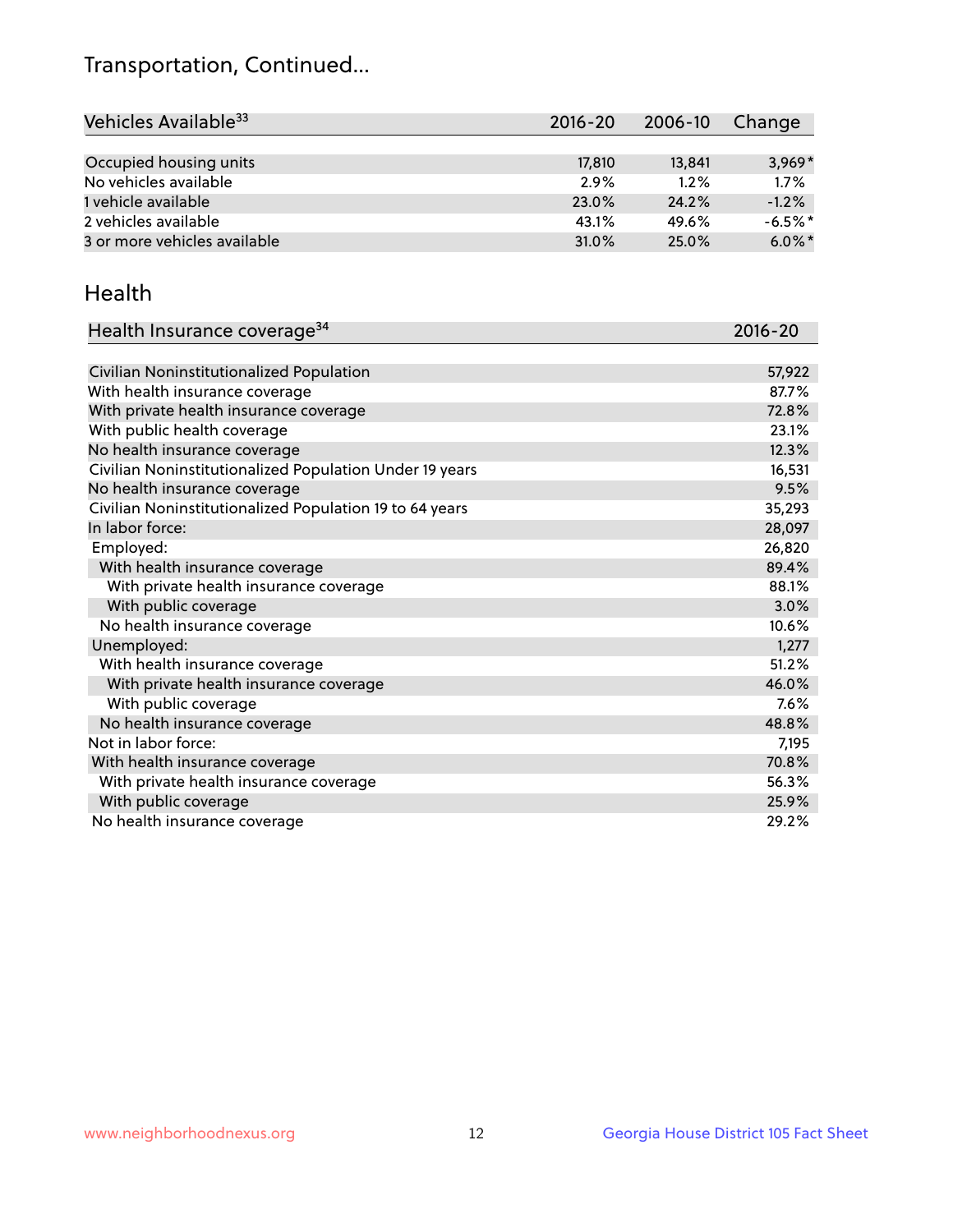## Transportation, Continued...

| Vehicles Available <sup>33</sup> | $2016 - 20$ | $2006 - 10$ | Change     |
|----------------------------------|-------------|-------------|------------|
|                                  |             |             |            |
| Occupied housing units           | 17,810      | 13,841      | $3,969*$   |
| No vehicles available            | 2.9%        | 1.2%        | 1.7%       |
| 1 vehicle available              | 23.0%       | 24.2%       | $-1.2%$    |
| 2 vehicles available             | 43.1%       | 49.6%       | $-6.5\%$ * |
| 3 or more vehicles available     | 31.0%       | 25.0%       | $6.0\%$ *  |

#### Health

| Health Insurance coverage <sup>34</sup>                 | 2016-20 |
|---------------------------------------------------------|---------|
|                                                         |         |
| Civilian Noninstitutionalized Population                | 57,922  |
| With health insurance coverage                          | 87.7%   |
| With private health insurance coverage                  | 72.8%   |
| With public health coverage                             | 23.1%   |
| No health insurance coverage                            | 12.3%   |
| Civilian Noninstitutionalized Population Under 19 years | 16,531  |
| No health insurance coverage                            | 9.5%    |
| Civilian Noninstitutionalized Population 19 to 64 years | 35,293  |
| In labor force:                                         | 28,097  |
| Employed:                                               | 26,820  |
| With health insurance coverage                          | 89.4%   |
| With private health insurance coverage                  | 88.1%   |
| With public coverage                                    | 3.0%    |
| No health insurance coverage                            | 10.6%   |
| Unemployed:                                             | 1,277   |
| With health insurance coverage                          | 51.2%   |
| With private health insurance coverage                  | 46.0%   |
| With public coverage                                    | 7.6%    |
| No health insurance coverage                            | 48.8%   |
| Not in labor force:                                     | 7,195   |
| With health insurance coverage                          | 70.8%   |
| With private health insurance coverage                  | 56.3%   |
| With public coverage                                    | 25.9%   |
| No health insurance coverage                            | 29.2%   |